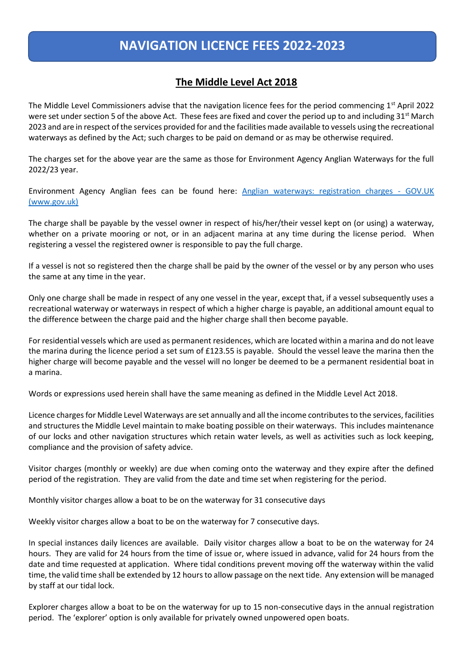## **NAVIGATION LICENCE FEES 2022-2023**

## **The Middle Level Act 2018**

The Middle Level Commissioners advise that the navigation licence fees for the period commencing  $1<sup>st</sup>$  April 2022 were set under section 5 of the above Act. These fees are fixed and cover the period up to and including 31<sup>st</sup> March 2023 and are in respect of the services provided for and the facilities made available to vessels using the recreational waterways as defined by the Act; such charges to be paid on demand or as may be otherwise required.

The charges set for the above year are the same as those for Environment Agency Anglian Waterways for the full 2022/23 year.

Environment Agency Anglian fees can be found here: [Anglian waterways: registration charges -](https://www.gov.uk/government/publications/anglian-waterways-registration-charges) GOV.UK [\(www.gov.uk\)](https://www.gov.uk/government/publications/anglian-waterways-registration-charges)

The charge shall be payable by the vessel owner in respect of his/her/their vessel kept on (or using) a waterway, whether on a private mooring or not, or in an adjacent marina at any time during the license period. When registering a vessel the registered owner is responsible to pay the full charge.

If a vessel is not so registered then the charge shall be paid by the owner of the vessel or by any person who uses the same at any time in the year.

Only one charge shall be made in respect of any one vessel in the year, except that, if a vessel subsequently uses a recreational waterway or waterways in respect of which a higher charge is payable, an additional amount equal to the difference between the charge paid and the higher charge shall then become payable.

For residential vessels which are used as permanent residences, which are located within a marina and do not leave the marina during the licence period a set sum of £123.55 is payable. Should the vessel leave the marina then the higher charge will become payable and the vessel will no longer be deemed to be a permanent residential boat in a marina.

Words or expressions used herein shall have the same meaning as defined in the Middle Level Act 2018.

Licence charges for Middle Level Waterways are set annually and all the income contributes to the services, facilities and structures the Middle Level maintain to make boating possible on their waterways. This includes maintenance of our locks and other navigation structures which retain water levels, as well as activities such as lock keeping, compliance and the provision of safety advice.

Visitor charges (monthly or weekly) are due when coming onto the waterway and they expire after the defined period of the registration. They are valid from the date and time set when registering for the period.

Monthly visitor charges allow a boat to be on the waterway for 31 consecutive days

Weekly visitor charges allow a boat to be on the waterway for 7 consecutive days.

In special instances daily licences are available. Daily visitor charges allow a boat to be on the waterway for 24 hours. They are valid for 24 hours from the time of issue or, where issued in advance, valid for 24 hours from the date and time requested at application. Where tidal conditions prevent moving off the waterway within the valid time, the valid time shall be extended by 12 hours to allow passage on the next tide. Any extension will be managed by staff at our tidal lock.

Explorer charges allow a boat to be on the waterway for up to 15 non-consecutive days in the annual registration period. The 'explorer' option is only available for privately owned unpowered open boats.